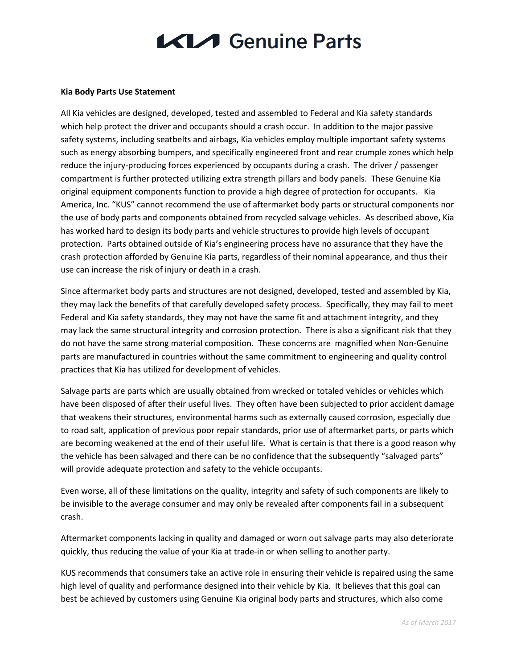## **KIA** Genuine Parts

## **Kia Body Parts Use Statement**

All Kia vehicles are designed, developed, tested and assembled to Federal and Kia safety standards which help protect the driver and occupants should a crash occur. In addition to the major passive safety systems, including seatbelts and airbags, Kia vehicles employ multiple important safety systems such as energy absorbing bumpers, and specifically engineered front and rear crumple zones which help reduce the injury-producing forces experienced by occupants during a crash. The driver / passenger compartment is further protected utilizing extra strength pillars and body panels. These Genuine Kia original equipment components function to provide a high degree of protection for occupants. Kia America, Inc. "KUS" cannot recommend the use of aftermarket body parts or structural components nor the use of body parts and components obtained from recycled salvage vehicles. As described above, Kia has worked hard to design its body parts and vehicle structures to provide high levels of occupant protection. Parts obtained outside of Kia's engineering process have no assurance that they have the crash protection afforded by Genuine Kia parts, regardless of their nominal appearance, and thus their use can increase the risk of injury or death in a crash.

Since aftermarket body parts and structures are not designed, developed, tested and assembled by Kia, they may lack the benefits of that carefully developed safety process. Specifically, they may fail to meet Federal and Kia safety standards, they may not have the same fit and attachment integrity, and they may lack the same structural integrity and corrosion protection. There is also a significant risk that they do not have the same strong material composition. These concerns are magnified when Non-Genuine parts are manufactured in countries without the same commitment to engineering and quality control practices that Kia has utilized for development of vehicles.

Salvage parts are parts which are usually obtained from wrecked or totaled vehicles or vehicles which have been disposed of after their useful lives. They often have been subjected to prior accident damage that weakens their structures, environmental harms such as externally caused corrosion, especially due to road salt, application of previous poor repair standards, prior use of aftermarket parts, or parts which are becoming weakened at the end of their useful life. What is certain is that there is a good reason why the vehicle has been salvaged and there can be no confidence that the subsequently "salvaged parts" will provide adequate protection and safety to the vehicle occupants.

Even worse, all of these limitations on the quality, integrity and safety of such components are likely to be invisible to the average consumer and may only be revealed after components fail in a subsequent crash.

Aftermarket components lacking in quality and damaged or worn out salvage parts may also deteriorate quickly, thus reducing the value of your Kia at trade-in or when selling to another party.

KUS recommends that consumers take an active role in ensuring their vehicle is repaired using the same high level of quality and performance designed into their vehicle by Kia. It believes that this goal can best be achieved by customers using Genuine Kia original body parts and structures, which also come